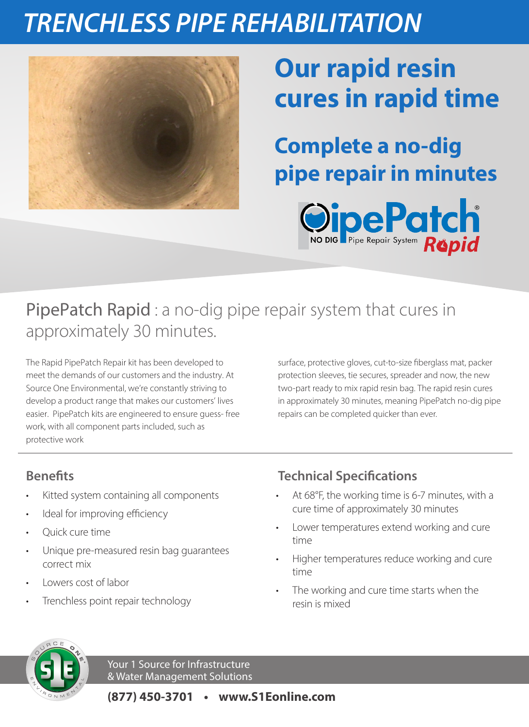## *TRENCHLESS PIPE REHABILITATION*



# **Our rapid resin cures in rapid time**

**Complete a no-dig pipe repair in minutes**



## PipePatch Rapid : a no-dig pipe repair system that cures in approximately 30 minutes.

The Rapid PipePatch Repair kit has been developed to meet the demands of our customers and the industry. At Source One Environmental, we're constantly striving to develop a product range that makes our customers' lives easier. PipePatch kits are engineered to ensure guess- free work, with all component parts included, such as protective work

surface, protective gloves, cut-to-size fiberglass mat, packer protection sleeves, tie secures, spreader and now, the new two-part ready to mix rapid resin bag. The rapid resin cures in approximately 30 minutes, meaning PipePatch no-dig pipe repairs can be completed quicker than ever.

### **Benefits**

- Kitted system containing all components
- Ideal for improving efficiency
- Quick cure time
- Unique pre-measured resin bag guarantees correct mix
- Lowers cost of labor
- Trenchless point repair technology

### **Technical Specifications**

- At 68°F, the working time is 6-7 minutes, with a cure time of approximately 30 minutes
- Lower temperatures extend working and cure time
- Higher temperatures reduce working and cure time
- The working and cure time starts when the resin is mixed



Your 1 Source for Infrastructure & Water Management Solutions